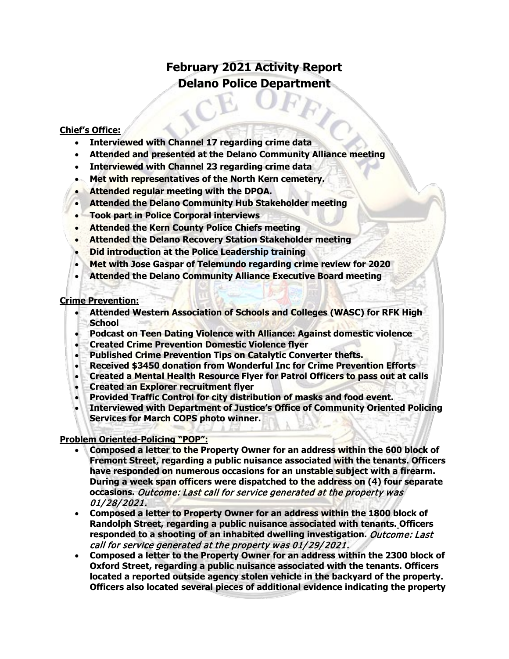# **February 2021 Activity Report Delano Police Department**

#### **Chief's Office:**

- **Interviewed with Channel 17 regarding crime data**
- **Attended and presented at the Delano Community Alliance meeting**
- **Interviewed with Channel 23 regarding crime data**
- **Met with representatives of the North Kern cemetery.**
- **Attended regular meeting with the DPOA.**
- **Attended the Delano Community Hub Stakeholder meeting**
- **Took part in Police Corporal interviews**
- **Attended the Kern County Police Chiefs meeting**
- **Attended the Delano Recovery Station Stakeholder meeting**
- **Did introduction at the Police Leadership training**
- **Met with Jose Gaspar of Telemundo regarding crime review for 2020**
- **Attended the Delano Community Alliance Executive Board meeting**

#### **Crime Prevention:**

- **Attended Western Association of Schools and Colleges (WASC) for RFK High School**
- **Podcast on Teen Dating Violence with Alliance: Against domestic violence**
- **Created Crime Prevention Domestic Violence flyer**
- **Published Crime Prevention Tips on Catalytic Converter thefts.**
- **Received \$3450 donation from Wonderful Inc for Crime Prevention Efforts**
- **Created a Mental Health Resource Flyer for Patrol Officers to pass out at calls**
- **Created an Explorer recruitment flyer**
- **Provided Traffic Control for city distribution of masks and food event.**
- **Interviewed with Department of Justice's Office of Community Oriented Policing Services for March COPS photo winner.**

#### **Problem Oriented-Policing "POP":**

- **Composed a letter to the Property Owner for an address within the 600 block of Fremont Street, regarding a public nuisance associated with the tenants. Officers have responded on numerous occasions for an unstable subject with a firearm. During a week span officers were dispatched to the address on (4) four separate occasions.** Outcome: Last call for service generated at the property was 01/28/2021.
- **Composed a letter to Property Owner for an address within the 1800 block of Randolph Street, regarding a public nuisance associated with tenants. Officers responded to a shooting of an inhabited dwelling investigation.** Outcome: Last call for service generated at the property was 01/29/2021.
- **Composed a letter to the Property Owner for an address within the 2300 block of Oxford Street, regarding a public nuisance associated with the tenants. Officers located a reported outside agency stolen vehicle in the backyard of the property. Officers also located several pieces of additional evidence indicating the property**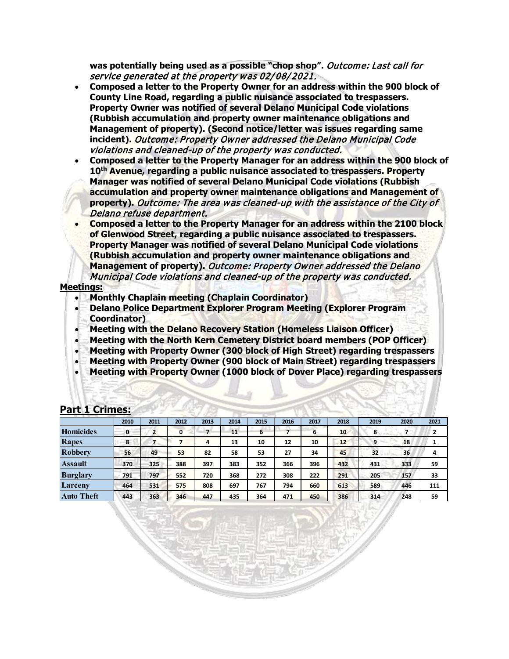**was potentially being used as a possible "chop shop".** Outcome: Last call for service generated at the property was 02/08/2021.

- **Composed a letter to the Property Owner for an address within the 900 block of County Line Road, regarding a public nuisance associated to trespassers. Property Owner was notified of several Delano Municipal Code violations (Rubbish accumulation and property owner maintenance obligations and Management of property). (Second notice/letter was issues regarding same incident).** Outcome: Property Owner addressed the Delano Municipal Code violations and cleaned-up of the property was conducted.
- **Composed a letter to the Property Manager for an address within the 900 block of 10th Avenue, regarding a public nuisance associated to trespassers. Property Manager was notified of several Delano Municipal Code violations (Rubbish accumulation and property owner maintenance obligations and Management of property).** Outcome: The area was cleaned-up with the assistance of the City of Delano refuse department.
- **Composed a letter to the Property Manager for an address within the 2100 block of Glenwood Street, regarding a public nuisance associated to trespassers. Property Manager was notified of several Delano Municipal Code violations (Rubbish accumulation and property owner maintenance obligations and Management of property).** Outcome: Property Owner addressed the Delano Municipal Code violations and cleaned-up of the property was conducted.

#### **Meetings:**

- **Monthly Chaplain meeting (Chaplain Coordinator)**
- **Delano Police Department Explorer Program Meeting (Explorer Program Coordinator)**
- **Meeting with the Delano Recovery Station (Homeless Liaison Officer)**
- **Meeting with the North Kern Cemetery District board members (POP Officer)**
- **Meeting with Property Owner (300 block of High Street) regarding trespassers**
- **Meeting with Property Owner (900 block of Main Street) regarding trespassers**
- **Meeting with Property Owner (1000 block of Dover Place) regarding trespassers**

| The Contract of the Contract of | 2010 | 2011 | 2012 | 2013 | 2014 | 2015 | 2016 | 2017 | 2018 | 2019 | 2020 | 2021 |
|---------------------------------|------|------|------|------|------|------|------|------|------|------|------|------|
| Homicides                       | 0    |      | 0    |      | 11   | 6    |      | 6    | 10   | 8    |      | 2    |
| Rapes                           | 8    |      |      | 4    | 13   | 10   | 12   | 10   | 12   | 9    | 18   |      |
| <b>Robbery</b>                  | 56   | 49   | 53   | 82   | 58   | 53   | 27   | 34   | 45   | 32   | 36   | 4    |
| Assault                         | 370  | 325  | 388  | 397  | 383  | 352  | 366  | 396  | 432  | 431  | 333  | 59   |
| <b>Burglary</b>                 | 791  | 797  | 552  | 720  | 368  | 272  | 308  | 222  | 291  | 205  | 157  | 33   |
| Larceny                         | 464  | 531  | 575  | 808  | 697  | 767  | 794  | 660  | 613  | 589  | 446  | 111  |
| <b>Auto Theft</b>               | 443  | 363  | 346  | 447  | 435  | 364  | 471  | 450  | 386  | 314  | 248  | 59   |

#### **Part 1 Crimes:**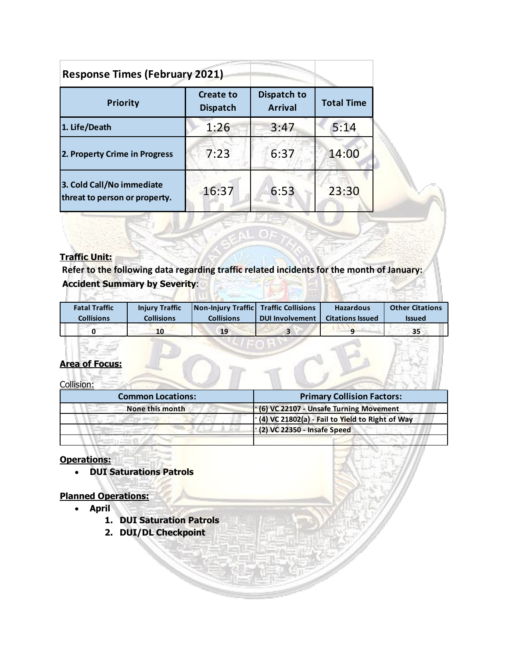| <b>Response Times (February 2021)</b>                      |                                     |                               |                   |  |  |  |  |
|------------------------------------------------------------|-------------------------------------|-------------------------------|-------------------|--|--|--|--|
| <b>Priority</b>                                            | <b>Create to</b><br><b>Dispatch</b> | Dispatch to<br><b>Arrival</b> | <b>Total Time</b> |  |  |  |  |
| 1. Life/Death                                              | 1:26                                | 3:47                          | 5:14              |  |  |  |  |
| 2. Property Crime in Progress                              | 7:23                                | 6:37                          | 14:00             |  |  |  |  |
| 3. Cold Call/No immediate<br>threat to person or property. | 16:37                               | 6:53                          | 23:30             |  |  |  |  |

### **Traffic Unit:**

**Refer to the following data regarding traffic related incidents for the month of January: Accident Summary by Severity**:

| <b>Fatal Traffic</b> | <b>Injury Traffic</b> | Non-Injury Traffic Traffic Collisions | <b>DUI Involvement</b> | <b>Hazardous</b>        | <b>Other Citations</b> |
|----------------------|-----------------------|---------------------------------------|------------------------|-------------------------|------------------------|
| <b>Collisions</b>    | <b>Collisions</b>     | <b>Collisions</b>                     |                        | <b>Citations Issued</b> | <b>Issued</b>          |
|                      | 10                    | 19                                    |                        |                         | 35                     |

### **Area of Focus:**

Collision:

| <b>Common Locations:</b> | <b>Primary Collision Factors:</b>                       |
|--------------------------|---------------------------------------------------------|
| None this month          | $\cdot$ (6) VC 22107 - Unsafe Turning Movement          |
|                          | $\cdot$ (4) VC 21802(a) - Fail to Yield to Right of Way |
|                          | $\cdot$ (2) VC 22350 - Insafe Speed                     |
|                          |                                                         |

### **Operations:**

• **DUI Saturations Patrols**

## **Planned Operations:**

- **April**
	- **1. DUI Saturation Patrols**
	- **2. DUI/DL Checkpoint**